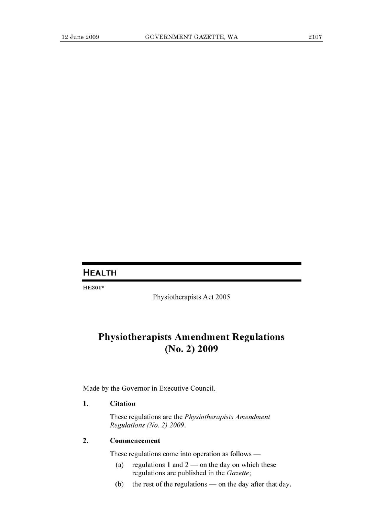## **HEALTH**

HE301\*

Physiotherapists Act 2005

# **Physiotherapists Amendment Regulations (No. 2) 2009**

Made by the Governor in Executive Council.

### **1. Citation**

These regulations are the *Physiotherapists Amendment Regulations (No. 2) 2009.* 

### **2. Commencement**

These regulations come into operation as follows —

- (a) regulations **1** and 2 on the day on which these regulations are published in the *Gazette;*
- (b) the rest of the regulations on the day after that day.